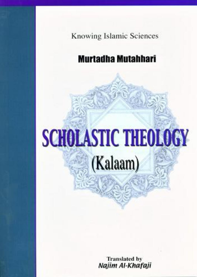

#### **Murtadha Mutabhari**

## **SCHOLASTIC THEOLOGY** (Kalaam)

**Translated by** m Al-Khafaii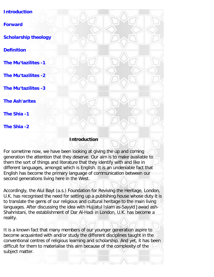|  |  |  | <b>Introduction</b> |
|--|--|--|---------------------|
|  |  |  |                     |
|  |  |  |                     |

#### **[Forward](#page-2-1)**

**[Scholarship theology](#page-7-0)** 

**[Definition](#page-10-0)** 

**[The Mu'tazilites -1](#page-14-0)** 

**[The Mu'tazilites -2](#page-18-0)** 

**[The Mu'tazilites -3](#page-24-0)** 

**[The Ash'arites](#page-28-0)** 

**[The Shia -1](#page-32-0)** 

**[The Shia -2](#page-38-0)** 

#### **Introduction**

For sometime now, we have been looking at giving the up and coming generation the attention that they deserve. Our aim is to make available to them the sort of things and literature that they identify with and like in different languages, amongst which is English. It is an undeniable fact that English has become the primary language of communication between our second generations living here in the West.

Accordingly, the Alul Bayt (a.s.) Foundation for Reviving the Heritage, London, U.K. has recognised the need for setting up a publishing house whose duty it is to translate the gems of our religious and cultural heritage to the main living languages. After discussing the idea with Hujjatul Islam as-Sayyid Jawad ash-Shahristani, the establishment of Dar Al-Hadi in London, U.K. has become a reality.

It is a known fact that many members of our younger generation aspire to become acquainted with and/or study the different disciplines taught in the conventional centres of religious learning and scholarship. And yet, it has been difficult for them to materialise this aim because of the complexity of the subject matter.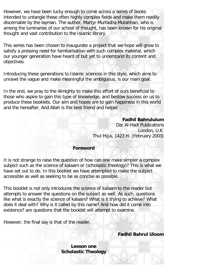However, we have been lucky enough to come across a series of books intended to untangle these often highly complex fields and make them readily discernable by the layman. The author, Martyr Murtadha Mutahhari, who is among the luminaries of our school of thought, has been known for his original thought and vast contribution to the Islamic library.

This series has been chosen to inaugurate a project that we hope will grow to satisfy a pressing need for familiarisation with such complex material, which our younger generation have heard of but yet to understand its content and objectives.

Introducing these generations to Islamic sciences in this style, which aims to unravel the vague and make meaningful the ambiguous, is our main goal.

In the end, we pray to the Almighty to make this effort of ours beneficial to those who aspire to gain this type of knowledge, and bestow success on us to produce these booklets. Our aim and hopes are to gain happiness in this world and the hereafter. And Allah is the best friend and helper.

#### **Fadhil Bahrululum**

Dar Al-Hadi Publications London, U.K. Thul Hijja, 1423 H. (February 2003)

#### **Foreword**

<span id="page-2-0"></span>It is not strange to raise the question of how can one make simpler a complex subject such as the science of kalaam or (scholastic theology)? This is what we have set out to do. In this booklet we have attempted to make the subject accessible as well as seeking to be as concise as possible.

This booklet is not only introduces the science of kalaam to the reader but attempts to answer the questions on the subject as well. As such, questions like what is exactly the science of kalaam? What is it trying to achieve? What does it deal with? Why is it called by this name? And how did it come into existence? are questions that the booklet will attempt to examine.

<span id="page-2-1"></span>However, the final say is that of the reader.

**Fadhil Bahrul Uloom**

**Lesson one Scholastic Theology**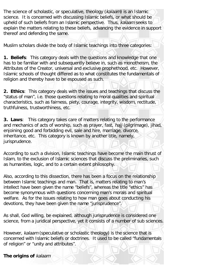The science of scholastic, or speculative, theology (kalaam) is an Islamic science. It is concerned with discussing Islamic beliefs, or what should be upheld of such beliefs from an Islamic perspective. Thus, kalaam seeks to explain the matters relating to these beliefs, advancing the evidence in support thereof and defending the same.

Muslim scholars divide the body of Islamic teachings into three categories:

**1. Beliefs**: This category deals with the questions and knowledge that one has to be familiar with and subsequently believe in, such as monotheism, the Attributes of the Creator, universal and exclusive prophethood, etc. However, Islamic schools of thought differed as to what constitutes the fundamentals of religion and thereby have to be espoused as such.

**2. Ethics**: This category deals with the issues and teachings that discuss the "status of man", i.e. those questions relating to moral qualities and spiritual characteristics, such as fairness, piety, courage, integrity, wisdom, rectitude, truthfulness, trustworthiness, etc.

**3. Laws**: This category takes care of matters relating to the performance and mechanics of acts of worship, such as prayer, fast, *hajj* (pilgrimage), jihad, enjoining good and forbidding evil, sale and hire, marriage, divorce, inheritance, etc. This category is known by another title, namely, jurisprudence.

According to such a division, Islamic teachings have become the main thrust of Islam, to the exclusion of Islamic sciences that discuss the preliminaries, such as humanities, logic, and to a certain extent philosophy.

Also, according to this dissection, there has been a focus on the relationship between Islamic teachings and man. That is, matters relating to man's intellect have been given the name "beliefs", whereas the title "ethics" has become synonymous with questions concerning man's morals and spiritual welfare. As for the issues relating to how man goes about conducting his devotions, they have been given the name "jurisprudence".

As shall, God willing, be explained, although jurisprudence is considered one science, from a juridical perspective, yet it consists of a number of sub sciences.

However, kalaam (speculative or scholastic theology) is the science that is concerned with Islamic beliefs or doctrines. It used to be called "fundamentals of religion" or "unity and attributes".

**The origins of** kalaam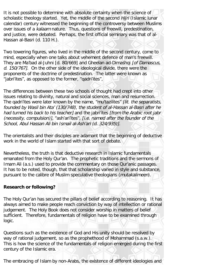It is not possible to determine with absolute certainty when the science of scholastic theology started. Yet, the middle of the second *Hijri* (Islamic lunar calendar) century witnessed the beginning of the controversy between Muslims over issues of a kalaam nature. Thus, questions of freewill, predestination, and justice, were debated. Perhaps, the first official seminary was that of al-Hassan al-Basri (d. 110 H.).

Two towering figures, who lived in the middle of the second century, come to mind, especially when one talks about vehement defence of man's freewill. They are Ma'bad al-Juhni [d. 80/669] and Gheelan ad-Dimashqi *[of Damascus,* d. 150/767]. On the other side of the ideological divide, there were the proponents of the doctrine of predestination. The latter were known as "jabri'ites", as opposed to the former, "qadri'ites",

The differences between these two schools of thought had crept into other issues relating to divinity, natural and social sciences, man and resurrection. The gadri'ites were later known by the name, "mu'tazilites" *[lit. the separatists,* founded by Wasil bin Ata' (130/748), the student of al-Hassan al-Basri after he had turned his back to his teacher] and the jabri'ites [from the Arabic root jabr (necessity, compulsion)], "ash'ari'ites", [i.e. named after the founder of the School, Abul Hassan Ali bin Ismail al-Ash'ari (d. 324/935)].

The orientalists and their disciples are adamant that the beginning of deductive work in the world of Islam started with that sort of debate.

Nevertheless, the truth is that deductive research in Islamic fundamentals emanated from the Holy Qur'an. The prophetic traditions and the sermons of Imam Ali (a.s.) used to provide the commentary on those Qur'anic passages. It has to be noted, though, that that scholarship varied in style and substance, pursuant to the calibre of Muslim speculative theologians (mutakalimeen).

#### **Research or following?**

The Holy Qur'an has secured the pillars of belief according to reasoning. It has always aimed to make people reach conviction by way of intellection or rational judgement. The Holy Book does not consider worship in matters of belief sufficient. Therefore, fundamentals of religion have to be examined through logic.

Questions such as the existence of God and His unity should be resolved by way of rational judgement, so as the prophethood of Mohammad (s.a.w.). This is how the science of the fundamentals of religion emerged during the first century of the Islamic era.

The embracing of Islam by non-Arabs, the existence of different ideologies and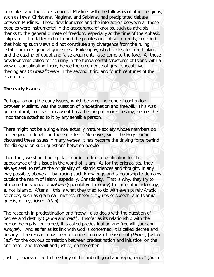principles, and the co-existence of Muslims with the followers of other religions, such as Jews, Christians, Magians, and Sabians, had precipitated debate between Muslims. Those developments and the interaction between all those peoples were instrumental in the appearance of groups, such as atheists, thanks to the general climate of freedom, especially at the time of the Abbasid caliphate. The latter did not mind the proliferation of such trends, provided that holding such views did not constitute any divergence from the ruling establishment's general guidelines. Philosophy, which called for freethinking and the casting of doubt and false arguments, also came to the fore. All those developments called for scrutiny in the fundamental structures of Islam, with a view of consolidating them, hence the emergence of great speculative theologians (mutakalimeen) in the second, third and fourth centuries of the Islamic era.

#### **The early issues**

Perhaps, among the early issues, which became the bone of contention between Muslims, was the question of predestination and freewill. This was quite natural, not least because it has a bearing on man's destiny, hence, the importance attached to it by any sensible person.

There might not be a single intellectually mature society whose members do not engage in debate on these matters. Moreover, since the Holy Qur'an discussed these issues in many verses, it has become the driving force behind the dialogue on such questions between people.

Therefore, we should not go far in order to find a justification for the appearance of this issue in the world of Islam. As for the orientalists, they always seek to refute the originality of Islamic sciences and thought, in any way possible, above all, by tracing such knowledge and scholarship to domains outside the realm of Islam, especially, Christianity. That is why, they try to attribute the science of kalaam (speculative theology) to some other ideology, i. e. not Islamic. After all, this is what they tried to do with even purely Arabic sciences, such as grammar, metrics, rhetoric, figures of speech, and Islamic gnosis, or mysticism (Irfan).

The research in predestination and freewill also deals with the question of decree and destiny (*gadha* and *gadr*). Insofar as its relationship with the human beings is concerned, it is called predestination and freewill (*jabr* and ikhtiyar). And as far as its link with God is concerned, it is called decree and destiny. The research has been extended to cover the issue of *[Divine]* Justice (adl) for the obvious correlation between predestination and injustice, on the one hand, and freewill and justice, on the other.

Justice, however, led to the study of the "inbuilt good and repugnance" (husn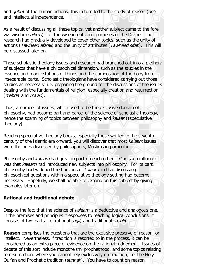and *qubh*) of the human actions; this in turn led to the study of reason (aql) and intellectual independence.

As a result of discussing all these topics, yet another subject came to the fore, viz. wisdom (hikma), i.e. the wise intents and purposes of the Divine. The research had gradually developed to cover other topics, such as the unity of actions (Tawheed afa'ali) and the unity of attributes (Tawheed sifati). This will be discussed later on.

These scholastic theology issues and research had branched out into a plethora of subjects that have a philosophical dimension, such as the studies in the essence and manifestations of things and the composition of the body from inseparable parts. Scholastic theologians have considered carrying out those studies as necessary, i.e. preparing the ground for the discussions of the issues dealing with the fundamentals of religion, especially creation and resurrection (mabda' and ma'ad).

Thus, a number of issues, which used to be the exclusive domain of philosophy, had become part and parcel of the science of scholastic theology, hence the spanning of topics between philosophy and kalaam (speculative theology).

Reading speculative theology books, especially those written in the seventh century of the Islamic era onward, you will discover that most kalaam issues were the ones discussed by philosophers, Muslims in particular.

Philosophy and kalaam had great impact on each other. One such influence was that kalaam had introduced new subjects into philosophy. For its part, philosophy had widened the horizons of kalaam, in that discussing philosophical questions within a speculative theology setting had become necessary. Hopefully, we shall be able to expand on this subject by giving examples later on.

#### **Rational and traditional debate**

Despite the fact that the science of kalaam is a deductive and analogous one, in the premises and principles it espouses to reaching logical conclusions, it consists of two parts, i.e. rational (aqli) and traditional (naqli).

**Reason** comprises the questions that are the exclusive preserve of reason, or intellect. Nevertheless, if tradition is resorted to in the process, it can be considered as an extra piece of evidence on the rational judgement. Issues of debate of this sort include monotheism, prophethood, and some topics relating to resurrection, where you cannot rely exclusively on tradition, i.e. the Holy Qur'an and Prophetic tradition (sunnah). You have to count on reason.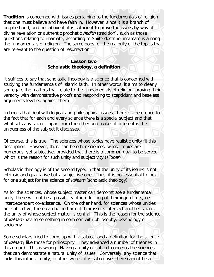**Tradition** is concerned with issues pertaining to the fundamentals of religion that one must believe and have faith in. However, since it is a branch of prophethood, and not above it, it is sufficient to prove the issues by way of divine revelation or authentic prophetic *hadith* (tradition), such as those questions relating to imamate; according to Shiite doctrine, imamate is among the fundamentals of religion. The same goes for the majority of the topics that are relevant to the question of resurrection.

#### **Lesson two Scholastic theology, a definition**

<span id="page-7-0"></span>It suffices to say that scholastic theology is a science that is concerned with studying the fundamentals of Islamic faith. In other words, it aims to clearly segregate the matters that relate to the fundamentals of religion, proving their veracity with demonstrative proofs and responding to scepticism and baseless arguments levelled against them.

In books that deal with logical and philosophical issues, there is a reference to the fact that for each and every science there is a special subject and that what sets any science apart from the other and makes it different is the uniqueness of the subject it discusses.

Of course, this is true. The sciences whose topics have realistic unity fit this description. However, there can be other sciences, whose topics are numerous, yet subjective, provided that there is a common goal to be served, which is the reason for such unity and subjectivity (*l'itibar*)

Scholastic theology is of the second type, in that the unity of its issues is not intrinsic and qualitative but a subjective one. Thus, it is not essential to look for one subject for the science of kalaam (scholastic theology).

As for the sciences, whose subject matter can demonstrate a fundamental unity, there will not be a possibility of interlocking of their ingredients, i.e. interdependent co-existence. On the other hand, for sciences whose unities are subjective, there can be no harm if their issues intersect another science the unity of whose subject matter is central. This is the reason for the science of kalaam having something in common with philosophy, psychology or sociology.

Some scholars tried to come up with a subject and a definition for the science of kalaam, like those for philosophy. They advanced a number of theories in this regard. This is wrong. Having a unity of subject concerns the sciences that can demonstrate a natural unity of issues. Conversely, any science that lacks this intrinsic unity, in other words, it is subjective, there cannot be a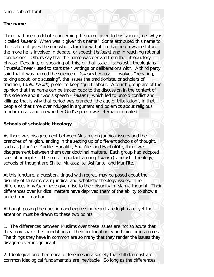single subject for it.

#### **The name**

There had been a debate concerning the name given to this science, i.e. why is it called kalaam? When was it given this name? Some attributed this name to the stature it gives the one who is familiar with it, in that he grows in stature the more he is involved in debate, or speech (kalaam) and in reaching rational conclusions. Others say that the name was derived from the introductory phrase "Debating, or speaking of, this, or that issue.." scholastic theologians (mutakalimeen) used to start their writings or deliberations with. A third party said that it was named the science of kalaam because it involves "debating, talking about, or discussing", the issues the traditionists, or scholars of tradition, (ahlul hadith) prefer to keep "quiet" about. A fourth group are of the opinion that the name can be traced back to the discussion in the context of this science about "God's speech - kalaam", which led to untold conflict and killings; that is why that period was branded "the age of tribulation", in that people of that time overindulged in argument and polemics about religious fundamentals and on whether God's speech was eternal or created.

#### **Schools of scholastic theology**

As there was disagreement between Muslims on juridical issues and the branches of religion, ending in the setting up of different schools of thought, such as Jafari'ite, Zaidite, Hanafite, Shafi'ite, and Hanbali'ite, there was disagreement between them over doctrinal matters. Each group had adopted special principles. The most important among kalaam (scholastic theology) schools of thought are Shiite, Mu'atazilite, Ash'arite, and Murji'ite.

At this juncture, a question, tinged with regret, may be posed about the disunity of Muslims over juridical and scholastic theology issues. Their differences in kalaam have given rise to their disunity in Islamic thought. Their differences over juridical matters have deprived them of the ability to show a united front in action.

Although posing the question and expressing regret are legitimate, yet the attention must be drawn to these two points:

1. The differences between Muslims over these issues are not so acute that they may shake the foundations of their doctrinal unity and joint programmes. The things they have in common are so many that they render the issues they disagree over insignificant.

2. Ideological and theoretical differences in a society that still demonstrate common ideological fundamentals are inevitable. So long as the differences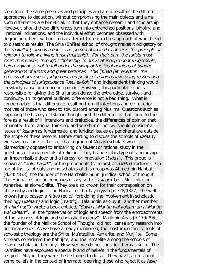stem from the same premises and principles and are a result of the different approaches to deduction, without compromising the main objects and aims, such differences are beneficial, in that they enhance research and scholarship. However, should these differences turn into entrenched positions, bigotry, and irrational inclinations, and the individual effort becomes obsessed with degrading others, without a real attempt to reform the approach, it would lead to disastrous results. The Shia (Shi'ite) school of thought makes it obligatory on the mukallaf [compos mentis: The person obligated to observe the precepts of religion] to follow a living jurist (mujtahid). For their part, the jurists must exert themselves, through scholarship, to arrive at independent judgements, being vigilant as not to fall under the sway of the legal opinions of bygone generations of jurists and great personas. This ijtihad [lit. exertion: the process of arriving at judgements on points of religious law, using reason and the principles of jurisprudence "usul al-fiqh"] and independent thinking would inevitably cause difference in opinion. However, this particular issue is responsible for giving the Shia jurisprudence the extra edge, survival, and continuity. In its general outlines, difference is not a bad thing. What is condemnable is that difference resulting from ill intentions and evil ulterior motives of those who seek to sow discord among Muslims. Questions such as exploring the history of Islamic thought and the differences that came to the fore as a result of ill intentions and prejudice, the differences of opinion that emanated from rational thinking, and whether or not we should consider all issues of kalaam as fundamental and juridical issues as peripheral are outside the scope of these lessons. Before starting to discuss the schools of kalaam, we have to allude to the fact that a group of Muslim scholars were diametrically opposed to embarking on kalaam or rational study in the questions of fundamentals of religion. They branded this type of scholarship an impermissible deed and a heresy, or innovation (bida'a). This group is known as "ahlul hadith", or the proponents (scholars) of hadith (tradition). On top of the list of outstanding scholars of this group was Ahmed bin Hanbal [d.245/833], the founder of the Hambalite Sunni juridical school of thought. The Hanbalites are archenemies of any sort of kalaam, be it Mu'tazilite or Asha'rite, let alone Shiite. They are also known for their contraposition on philosophy and logic. The Hanbalite, Ibn Taymiyyah [d.728/1327], the wellknown jurist passed a fatwa (edict) forbidding the involvement in scholastic theology (kalaam) and logic (mantiq). Jalaluddin as-Suyuti, another member of ahlul hadith wrote a book entitled, "Sawn al-Mantiq wal kalaam an al-Mantiq wal kalaam", i.e. the "preservation of logic and speech from the encroachments of the sciences of logic and scholastic theology". Malik bin Anas [d.179/795], the founder of the Malikite School of Thought, did not license any research into doctrinal issues. As we have already mentioned, the most important schools of scholastic theology are the Shiite, Mu'atazilite, Ash'arite, and Murji'ite. Some scholars considered the Kahrijite, and the Ismaelite among the schools of Islamic scholastic theology. However, we do not consider them as such. The Kahrijites have espoused a special brand of beliefs in the fundamentals of religion. Maybe, they were the first ones to do so. They have talked about some beliefs in the context of imamate, deeming those who reject it as *fasiq*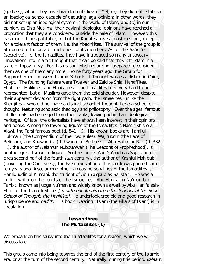(godless), whom they have branded unbeliever. Yet, (a) they did not establish an ideological school capable of deducing legal opinion; in other words, they did not set up an ideological system in the world of Islam; and (b) in our opinion, as Shia Muslims, their deviant ideological opinions have reached a proportion that they are considered outside the pale of Islam. However, this has made things palatable, in that the Khrijites have almost died out, except for a tolerant faction of them, i.e. the Abadhi'ites. The survival of the group is attributed to the broad-mindedness of its members. As for the Batinites (secretive), i.e. the Ismaelites, they have introduced so many unsavoury innovations into Islamic thought that it can be said that they left Islam in a state of topsy-turvy. For this reason, Muslims are not prepared to consider them as one of them any more. Some forty years ago, the Group for Rapprochement between Islamic Schools of Thought was established in Cairo, Egypt. The founding fathers were Twelver and Zaidite Shia, Hanafi'ites, Shafi'ites, Malikites, and Hanbalites. The Ismaelites tried very hard to be represented, but all Muslims gave them the cold shoulder. However, despite their apparent deviation from the right path, the Ismaelites, unlike the Kharijites – who did not have a distinct school of thought, have a school of thought, featuring scholastic theology and philosophy. Over the ages, famous intellectuals had emerged from their ranks, leaving behind an ideological heritage. Of late, the orientalists have shown keen interest in their opinions and books. Among the towering figures of the Ismaelites is Nassir Khisro al-Alawi, the Farsi famous poet (d. 841 H.). His known books are, Jami'ul Hukmain (the Compendium of the Two Rules), Wajhuddin (the Face of Religion), and Khawan (sic) Ikhwan (the Brothers). Abu Hatim ar-Razi (d. 332 H.), the author of A'alamun Nubbuwwah (The Beacons of Prophethood), is another great Ismaelite figure. Another one is Abu Ya'qoub as-Sajistani (d. circa second half of the fourth Hijri century), the author of Kashful Mahjoub (Unveiling the Concealed); the Farsi translation of this book was printed some ten years ago. Also, among other famous personalities of the Ismaelites is Hamiduddin al-Kirmani, the student of Abu Ya'qoub as-Sajistani. He was a prolific writer on the tenets of the Ismaelites. Abu Hanifa an-Nu'man bin Tahbit, known as Judge Nu'man and widely known as well by Abu Hanifa ash-Shii, i.e. the Ismaeli Shiite, *[to differentiate him from the founder of the Sunni* School of Thought, the Hanifi'ite]. He undertook credible and good research in jurisprudence and hadith. His book, Da'a'imul Islam (the Pillars of Islam) is in circulation.

#### **Lesson three The Mu'tazilites (1)**

<span id="page-10-0"></span>We embark on this study into the Mua'tazilites for a reason, which we will discuss later.

This group came into being towards the end of the first century of the Islamic era, or at the turn of the second century. Naturally, during this period, kalaam,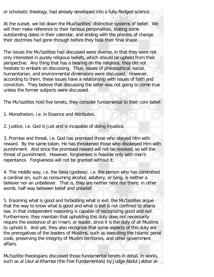or scholastic theology, had already developed into a fully-fledged science.

At the outset, we list down the Mua'tazilites' distinctive systems of belief. We will then make reference to their famous personalities, stating some outstanding dates in their calendar, and ending with the process of change their doctrines had gone through before they took their final shape.

The issues the Mu'tazilites had discussed were diverse, in that they were not only interested in purely religious beliefs, which should be upheld from their perspective. Any thing that has a bearing on the religious, they did not hesitate to embark on discussing. Thus, issues of philosophical, social, humanitarian, and environmental dimensions were discussed. However, according to them, these issues have a relationship with issues of faith and conviction. They believe that discussing the latter was not going to come true unless the former subjects were discussed.

The Mu'tazilites hold five tenets, they consider fundamental to their core belief:

1. Monotheism, i.e. in Essence and Attributes.

2. Justice, i.e. God is Just and is incapable of doing injustice.

3. Promise and threat, i.e. God has promised those who obeyed Him with reward. By the same token, He has threatened those who disobeyed Him with punishment. And since the promised reward will not be revoked, so will the threat of punishment. However, forgiveness is feasible only with man's repentance. Forgiveness will not be granted without it.

4. The middle way, i.e. the *fasiq* (godless), i.e. the person who has committed a cardinal sin, such as consuming alcohol, adultery, or lying, is neither a believer nor an unbeliever. That is, they are neither here nor there; in other words, half way between belief and unbelief.

5. Enjoining what is good and forbidding what is evil; the Mu'tazilites argue that the way to know what is good and what is evil is not confined to sharia law, in that independent reasoning is capable of recognizing good and evil. Furthermore, they maintain that upholding this duty does not necessarily require the existence of an Imam, or leader, since it is the duty of all Muslims to uphold it. And yet, they also recognize that some aspects of this duty are the prerogatives of the leaders of Muslims, such as executing the Islamic penal code, preserving the integrity of Muslim territories, and other government affairs.

Mu'tazilite theologians discussed those fundamental tenets in detail, in works, such as al Usul al-Khamsa (the Five Fundamentals) by Judge Abdul Jabbar al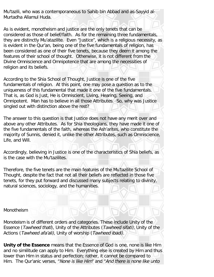Mu'tazili, who was a contemporaneous to Sahib bin Abbad and as-Sayyid al-Murtadha Allamul Huda.

As is evident, monotheism and justice are the only tenets that can be considered as those of belief/faith. As for the remaining three fundamentals, they are distinctly Mu'atazilite. Even "Justice", which is a religious necessity, as is evident in the Qur'an, being one of the five fundamentals of religion, has been considered as one of their five tenets, because they deem it among the features of their school of thought. Otherwise, it is not different from the Divine Omniscience and Omnipotence that are among the necessities of religion and its beliefs.

According to the Shia School of Thought, Justice is one of the five fundamentals of religion. At this point, one may pose a question as to the uniqueness of this fundamental that made it one of the five fundamentals. That is, as God is Just, He is Omniscient, Living, Hearing, Seeing, and Omnipotent. Man has to believe in all those Attributes. So, why was Justice singled out with distinction above the rest?

The answer to this question is that Justice does not have any merit over and above any other Attributes. As for Shia theologians, they have made it one of the five fundamentals of the faith, whereas the Ash'arites, who constitute the majority of Sunnis, denied it, unlike the other Attributes, such as Omniscience, Life, and Will.

Accordingly, believing in Justice is one of the characteristics of Shia beliefs, as is the case with the Mu'tazilites.

Therefore, the five tenets are the main features of the Mu'tazilite School of Thought, despite the fact that not all their beliefs are reflected in those five tenets, for they put forward and discussed many subjects relating to divinity, natural sciences, sociology, and the humanities.

**Monotheism** 

Monoteism is of different orders and categories. These include Unity of the Essence (Tawheed thati), Unity of the Attributes (Tawheed sifati), Unity of the Actions (Tawheed afa'ali), Unity of worship (Tawheed ibadi).

**Unity of the Essence** means that the Essence of God is one, none is like Him and no similitude can apply to Him. Everything else is created by Him and thus lower than Him in status and perfection; rather, it cannot be compared to Him. The Qur'anic verses, "None is like Him" and "And there is none like unto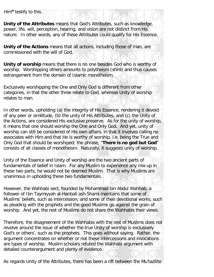Him**"** testify to this.

**Unity of the Attributes** means that God's Attributes, such as knowledge, power, life, will, perception, hearing, and vision are not distinct from His nature. In other words, any of these Attributes could qualify for His Essence.

**Unity of the Actions** means that all actions, including those of man, are commissioned with the will of God.

**Unity of worship** means that there is no one besides God who is worthy of worship. Worshipping others amounts to polytheism (shirk) and thus causes estrangement from the domain of Islamic monotheism.

Exclusively worshipping the One and Only God is different from other categories, in that the other three relate to God, whereas Unity of worship relates to man.

In other words, upholding (a) the integrity of His Essence, rendering it devoid of any peer or similitude, (b) the unity of His Attributes, and (c) the Unity of the Actions, are considered His exclusive preserve. As for the unity of worship, it means that one should worship the One and Only God. And yet, unity of worship can still be considered of His own affairs, in that it involves calling no associates with Him and that He is worthy of worship, i.e. being the True and Only God that should be worshiped; the phrase, "**There is no god but God**" consists of all classes of monotheism. Naturally, it suggests unity of worship.

Unity of the Essence and Unity of worship are the two ancient parts of fundamentals of belief in Islam. For any Muslim to experience any mix-up in these two parts, he would not be deemed Muslim. That is why Muslims are unanimous in upholding these two fundamentals.

However, the Wahhabi sect, founded by Mohammad bin Abdul Wahhab, a follower of Ibn Taymiyyah al-Hanbali ash-Shami maintains that some of Muslims' beliefs, such as intercession, and some of their devotional works, such as pleading with the prophets and the good Muslims go against the grain of worship. And yet, the rest of Muslims do not share the Wahhabis their views.

Therefore, the disagreement of the Wahhabis with the rest of Muslims does not revolve around the issue of whether the true Unity of worship is exclusively God's or others', such as the prophets. This goes without saying. Rather, the argument concentrates on whether or not these intercessions and invocations are types of worship. Muslim scholars refuted the Wahhabi argument with detailed counterargument and plenty of evidence.

As regards Unity of the Attributes, there has been a rift between the Mu'tazilite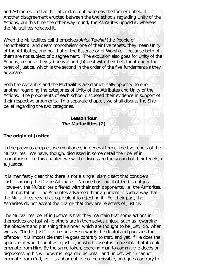and Ash'arites, in that the latter denied it, whereas the former upheld it. Another disagreement erupted between the two schools regarding Unity of the Actions, but this time the other way round; the Ash'arites upheld it, whereas the Mu'tazilites rejected it.

When the Mu'tazilites call themselves Ahlut Tawhid (the People of Monotheism), and deem monotheism one of their five tenets, they mean Unity of the Attributes, and not that of the Essence or of Worship – because both of them are not subject of disagreement. The exclusion also goes for Unity of the Actions, because they (a) deny it and (b) deal with their belief in it under the tenet of Justice, which is the second in the order of the five fundamentals they advocate.

Both the Ash'arites and the Mu'tazilites are diametrically opposed to one another regarding the categories of Unity of the Attributes and Unity of the Actions. The proponents of each school discussed their evidence in support of their respective arguments. In a separate chapter, we shall discuss the Shia belief regarding the two categories.

#### **Lesson four The Mu'tazilites (2)**

## <span id="page-14-0"></span>**The origin of Justice**

In the previous chapter, we mentioned, in general terms, the five tenets of the Mu'tazilites. We have, though, discussed in some detail their belief in monotheism. In this chapter, we will be discussing the second of their tenets, i. e. Justice.

It is manifestly clear that there is not a single Islamic sect that considers Justice among the Divine Attributes. No one has said that God is not just. However, the Mu'tazilites differed with their arch opponents, i.e. the Ash'arites, in interpretation. The Asha'rites advanced their argument in such a way that the Mu'tazilites regard as equivalent to rejecting it. For their part, the Ash'arites do not accept the charge that they are rejecters of Justice.

The Mu'tazilites' belief in Justice is that they maintain that some actions in themselves are just while others are in themselves unjust, such as rewarding the obedient and punishing the sinner, which are thought to be just. So, when we say, "God is Just", it is because He rewards the dutiful and punishes the offender; it is impossible that He goes contrary to that, and yet, if He does the opposite, it would count as injustice, in which case it is impossible that it could emanate from Him. By the same token, coercing man to commit vile deeds or dispossessing his willpower is regarded as unfair and unjust, which cannot emanate from God, as it is abhorrent, is not permissible, and goes contrary to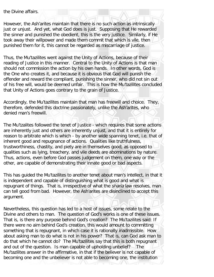the Divine affairs.

However, the Ash'arites maintain that there is no such action as intrinsically just or unjust. And yet, what God does is just. Supposing that He rewarded the sinner and punished the obedient, this is the very justice. Similarly, if He took away their willpower and made them commit that which is vile, then punished them for it, this cannot be regarded as miscarriage of justice.

Thus, the Mu'tazilites went against the Unity of Actions, because of their reading of Justice in this manner. Central to the Unity of Actions is that man should not commission the action by his own hands. In other words, God is the One who creates it, and because it is obvious that God will punish the offender and reward the compliant, punishing the sinner, who did not sin out of his free will, would be deemed unfair. This is how the Mu'tazilites concluded that Unity of Actions goes contrary to the grain of Justice.

Accordingly, the Mu'tazilites maintain that man has freewill and choice. They, therefore, defended this doctrine passionately, unlike the Ash'arites, who denied man's freewill.

The Mu'tzalites followed the tenet of Justice - which requires that some actions are inherently just and others are inherently unjust, and that it is entirely for reason to arbitrate which is which - by another wide spanning tenet, i.e. that of inherent good and repugnance of actions. Qualities like truthfulness, trustworthiness, chastity, and piety are in themselves good, as opposed to qualities such as lying, treachery, and vile deeds are abominations by nature. Thus, actions, even before God passes judgement on them, one way or the other, are capable of demonstrating their innate good or bad aspects.

This has guided the Mu'tazilites to another tenet about man's intellect, in that it is independent and capable of distinguishing what is good and what is repugnant of things. That is, irrespective of what the *sharia* law resolves, man can tell good from bad. However, the Ash'arites are disinclined to accept this argument.

Nevertheless, this question has led to a host of issues, some relate to the Divine and others to man. The question of God's works is one of these issues. That is, is there any purpose behind God's creation? The Mu'tazilites said: If there were no aim behind God's creation, this would amount to committing something that is repugnant, in which case it is rationally inadmissible. How about asking man to do what is not in his power? That is, can God ask man to do that which he cannot do? The Mu'tazilites say that this is both repugnant and out of the question. Is man capable of upholding unbelief? The Mu'tazilites answer in the affirmative, in that if the believer is not capable of becoming one and the unbeliever is not able to becoming one, the institution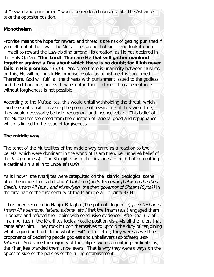of "reward and punishment" would be rendered nonsensical. The Ash'arites take the opposite position.

## **Monotheism**

Promise means the hope for reward and threat is the risk of getting punished if you fell foul of the Law. The Mu'tazilites argue that since God took it upon Himself to reward the Law-abiding among His creation, as He has declared in the Holy Qur'an, **"Our Lord! Thou are He that will gather mankind together against a Day about which there is no doubt; for Allah never fails in His promise."** (3/9). And since there is unanimity between Muslims on this, He will not break His promise insofar as punishment is concerned. Therefore, God will fulfil all the threats with punishment issued to the godless and the debauchee, unless they repent in their lifetime. Thus, repentance without forgiveness is not possible.

According to the Mu'tazilites, this would entail withholding the threat, which can be equated with breaking the promise of reward, i.e. if they were true, they would necessarily be both repugnant and inconceivable. This belief of the Mu'tazilites stemmed from the question of rational good and repugnance, which is linked to the issue of forgiveness.

## **The middle way**

The tenet of the Mu'tazilites of the middle way came as a reaction to two beliefs, which were dominant in the world of Islam then, i.e. unbelief/belief of the fasiq (godless). The Kharijites were the first ones to hold that committing a cardinal sin is akin to unbelief (kufr).

As is known, the Kharijites were catapulted on the Islamic ideological scene after the incident of "arbitration" (tahkeem) in Siffeen war *[between the then* Caliph, Imam Ali (a.s.) and Mu'awiyah, the then governor of Shaam (Syria)] in the first half of the first century of the Islamic era, i.e. circa 37 H.

It has been reported in Nahjul Balagha (The path of eloquence) *[a collection of* Imam Ali's sermons, letters, axioms, etc.] that the Imam (a.s.) engaged them in debate and refuted their claim with conclusive evidence. After the rule of Imam Ali (a.s.), the Kharijites took a hostile position vis-à-vis all the rulers that came after him. They took it upon themselves to uphold the duty of "enjoining what is good and forbidding what is evil" to the letter; they were as well the proponents of declaring people godless and unbelievers (at-tafseeq wattakfeer). And since the majority of the caliphs were committing cardinal sins, the Kharijites branded them unbelievers. That is why they were always on the opposite side of the policies of the ruling establishment.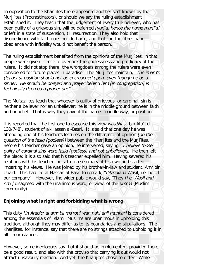In opposition to the Kharijites there appeared another sect known by the Murji'ites (Procrastinators), or should we say the ruling establishment established it. They teach that the judgement of every true believer, who has been quilty of a grievous sin, will be deferred *[yurj'a, hence the name murji'a]*, or left in a state of suspension, till resurrection. They also hold that disobedience with faith does not do harm, and that, on the other hand, obedience with infidelity would not benefit the person.

The ruling establishment benefited from the opinions of the Murji'ites, in that people were given licence to overlook the godlessness and profligacy of the rulers. It did not stop there; the wrongdoers among the rulers were even considered for future places in paradise. The Murji'ites maintain, "The imam's (leader's) position should not be encroached upon, even though he be a sinner. He should be obeyed and prayer behind him [in congregation] is technically deemed a proper one".

The Mu'tazilites teach that whoever is guilty of grievous, or cardinal, sin is neither a believer nor an unbeliever; he is in the middle ground between faith and unbelief. That is why they gave it the name, "middle way, or position".

It is reported that the first one to espouse this view was Wasil bin Ata' [d. 130/748], student of al-Hassan al-Basri. It is said that one day he was attending one of his teacher's lectures on the difference of opinion *[on the* question of the fasiq (godless)] between the Kharijites and the Murji'ites. Before his teacher gave an opinion, he intervened, saying: I believe those guilty of cardinal sins were fasiq (godless) and not unbelievers. He then left the place; it is also said that his teacher expelled him. Having severed his relations with his teacher, he set up a seminary of his own and started imparting his views. He was joined by his brother-in-law and student, Amr bin Ubaid. This had led al-Hassan al-Basri to remark, "I'itazalana Wasil, i.e. he left our company". However, the wider public would say, "They [i.e. Wasil and Amr] disagreed with the unanimous word, or view, of the umma (Muslim community)".

#### **Enjoining what is right and forbidding what is wrong**

This duty *[in Arabic: al amr bil ma'rouf wan nahi anil munkar]* is considered among the essentials of Islam. Muslims are unanimous in upholding this tradition, although they may differ as to its boundaries and stipulations. The Kharijites, for instance, say that there are no strings attached to upholding it in all circumstances.

However, some ideologues say that it should be implemented, provided there be a good result, and also with the proviso that carrying it out would not attract unsavoury reaction. And yet, the Kharijites chose to differ. While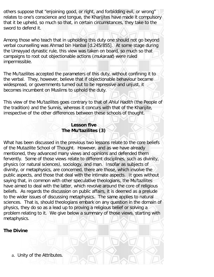others suppose that "enjoining good, or right, and forbidding evil, or wrong" relates to one's conscience and tongue, the Kharijites have made it compulsory that it be upheld, so much so that, in certain circumstances, they take to the sword to defend it.

Among those who teach that in upholding this duty one should not go beyond verbal counselling was Ahmad bin Hanbal [d.245/855]. At some stage during the Umayyad dynastic rule, this view was taken on board, so much so that campaigns to root out objectionable actions (mukaraat) were ruled impermissible.

The Mu'tazilites accepted the parameters of this duty, without confining it to the verbal. They, however, believe that if objectionable behaviour became widespread, or governments turned out to be repressive and unjust, it becomes incumbent on Muslims to uphold the duty.

This view of the Mu'tazilites goes contrary to that of Ahlul Hadith (the People of the tradition) and the Sunnis, whereas it concurs with that of the Kharijite, irrespective of the other differences between these schools of thought.

## **Lesson five The Mu'tazilites (3)**

<span id="page-18-0"></span>What has been discussed in the previous two lessons relate to the core beliefs of the Mutazilite School of Thought. However, and as we have already mentioned, they advanced many views and opinions and defended them fervently. Some of those views relate to different disciplines, such as divinity, physics (or natural sciences), sociology, and man. Insofar as subjects of divinity, or metaphysics, are concerned, there are those, which involve the public aspects, and those that deal with the intimate aspects. It goes without saying that, in common with other speculative theologians, the Mu'tazilites have aimed to deal with the latter, which revolve around the core of religious beliefs. As regards the discussion on public affairs, it is deemed as a prelude to the wider issues of discussing metaphysics. The same applies to natural sciences. That is, should theologians embark on any question in the domain of physics, they do so as a lead up to proving a religious belief or solving a problem relating to it. We give below a summary of those views, starting with metaphysics.

#### **The Divine**

a. Unity of the Attributes.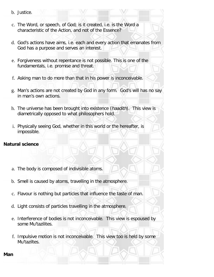- b. Justice.
- c. The Word, or speech, of God; is it created, i.e. is the Word a characteristic of the Action, and not of the Essence?
- d. God's actions have aims, i.e. each and every action that emanates from God has a purpose and serves an interest.
- e. Forgiveness without repentance is not possible. This is one of the fundamentals, i.e. promise and threat.
- f. Asking man to do more than that in his power is inconceivable.
- g. Man's actions are not created by God in any form. God's will has no say in man's own actions.
- h. The universe has been brought into existence (haadith). This view is diametrically opposed to what philosophers hold.
- i. Physically seeing God, whether in this world or the hereafter, is impossible.

#### **Natural science**

- a. The body is composed of indivisible atoms.
- b. Smell is caused by atoms, travelling in the atmosphere.
- c. Flavour is nothing but particles that influence the taste of man.
- d. Light consists of particles travelling in the atmosphere.
- e. Interference of bodies is not inconceivable. This view is espoused by some Mu'tazilites.
- f. Impulsive motion is not inconceivable. This view too is held by some Mu'taziltes.

**Man**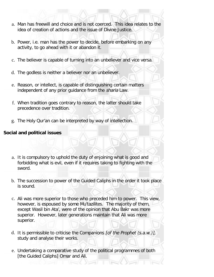- a. Man has freewill and choice and is not coerced. This idea relates to the idea of creation of actions and the issue of Divine Justice.
- b. Power, i.e. man has the power to decide, before embarking on any activity, to go ahead with it or abandon it.
- c. The believer is capable of turning into an unbeliever and vice versa.
- d. The godless is neither a believer nor an unbeliever.
- e. Reason, or intellect, is capable of distinguishing certain matters independent of any prior guidance from the sharia Law.
- f. When tradition goes contrary to reason, the latter should take precedence over tradition.
- g. The Holy Qur'an can be interpreted by way of intellection.

# **Social and political issues**

- a. It is compulsory to uphold the duty of enjoining what is good and forbidding what is evil, even if it requires taking to fighting with the sword.
- b. The succession to power of the Guided Caliphs in the order it took place is sound.
- c. Ali was more superior to those who preceded him to power. This view, however, is espoused by some Mu'tazilites. The majority of them, except Wasil bin Ata', were of the opinion that Abu Bakr was more superior. However, later generations maintain that Ali was more superior.
- d. It is permissible to criticise the Companions *[of the Prophet*  $(s.a.w.)$ *]*, study and analyse their works.
- e. Undertaking a comparative study of the political programmes of both [the Guided Caliphs] Omar and Ali.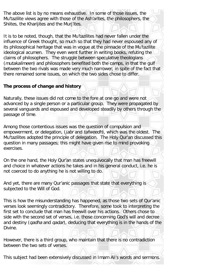The above list is by no means exhaustive. In some of those issues, the Mu'tazilite views agree with those of the Ash'arites, the philosophers, the Shiites, the Kharijites and the Murj'ites.

It is to be noted, though, that the Mu'tazilites had never fallen under the influence of Greek thought, so much so that they had never espoused any of its philosophical heritage that was in vogue at the pinnacle of the Mu'tazilite ideological acumen. They even went further in writing books, refuting the claims of philosophers. The struggle between speculative theologians (mutakalimeen) and philosophers benefited both the camps, in that the gulf between the two rivals was made very much narrower, in spite of the fact that there remained some issues, on which the two sides chose to differ.

## **The process of change and history**

Naturally, these issues did not come to the fore at one go and were not advanced by a single person or a particular group. They were propagated by several vanguards and espoused and developed steadily by others through the passage of time.

Among those contentious issues was the question of compulsion and empowerment, or delegation, (*jabr* and *tafweedh*), which was the oldest. The Mu'tazilites adopted the principle of delegation. The Holy Qur'an discussed this question in many passages; this might have given rise to mind provoking exercises.

On the one hand, the Holy Qur'an states unequivocally that man has freewill and choice in whatever actions he takes and in his general conduct, i.e. he is not coerced to do anything he is not willing to do.

And yet, there are many Qur'anic passages that state that everything is subjected to the Will of God.

This is how the misunderstanding has happened, as those two sets of Qur'anic verses look seemingly contradictory. Therefore, some took to interpreting the first set to conclude that man has freewill over his actions. Others chose to side with the second set of verses, i.e. those concerning God's will and decree and destiny (*qadha* and *qadar*), deducing that everything is in the hands of the Divine.

However, there is a third group, who maintain that there is no contradiction between the two sets of verses.

This subject had been extensively discussed in Imam Ali's words and sermons.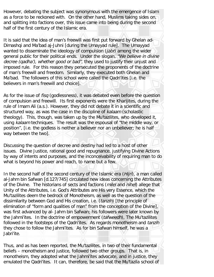However, debating the subject was synonymous with the emergence of Islam as a force to be reckoned with. On the other hand, Muslims taking sides on, and splitting into factions over, this issue came into being during the second half of the first century of the Islamic era.

It is said that the idea of man's freewill was first put forward by Ghelan ad-Dimashqi and Ma'bad aj-Juhni [during the Umayyad rule]. The Umayyad wanted to disseminate the ideology of compulsion (*jabr*) among the wider general public for their political ends. Under the slogan, "We believe in divine decree (qadha'), whether good or bad", they used to justify their unjust and imposed rule. For this reason they persecuted the proponents of the doctrine of man's freewill and freedom. Similarly, they executed both Ghelan and Ma'bad. The followers of this school were called the Qadri'ites [i.e. the believers in man's freewill and choice].

As for the issue of *fisq* (godlessness), it was debated even before the question of compulsion and freewill. Its first exponents were the Kharijites, during the rule of Imam Ali (a.s.). However, they did not debate it in a scientific and structured way, as was the case in the discipline of kalaam (scholastic theology). This, though, was taken up by the Mu'tazilites, who developed it, using kalaam techniques. The result was the espousal of "the middle way, or position", [i.e. the godless is neither a believer nor an unbeliever; he is half way between the two].

Discussing the question of decree and destiny had led to a host of other issues. Divine Justice, rational good and repugnance, justifying Divine Actions by way of intents and purposes, and the inconceivability of requiring man to do what is beyond his power and reach, to name but a few.

In the second half of the second century of the Islamic era (Hijri), a man called al-Jahm bin Safwan [d.127/745] circulated new ideas concerning the Attributes of the Divine. The historians of sects and factions (milel and nihel) allege that Unity of the Attributes, i.e. God's Attributes are His very Essence, which the Mu'tazilites deem the bedrock of Monotheism, as well as the question of the dissimilarity between God and His creation, i.e. (tanzih) [the principle of elimination of "form and qualities of man" from the conception of the Divine], was first advanced by al- Jahm bin Safwan; his followers were later known by the Jahmi'ites. In the doctrine of empowerment (tafweedh), The Mu'tazilites followed in the footsteps of the Qadri'ites. As regards monotheism and tanzih they chose to follow the Jahmi'ites. As for bin Safwan himself, he was a Jabri'ite.

Thus, and as has been reported, the Mu'tazilites, in two of their fundamental beliefs – monotheism and justice, followed two other groups. That is, in monotheism, they adopted what the Jahmi'ites advocate, and in justice, they emulated the Qadri'ites. It can, therefore, be said that the Mu'tazila school of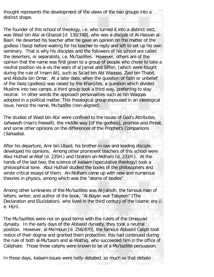thought represents the development of the views of the two groups into a distinct shape.

The founder of this school of theology, i.e. who turned it into a distinct sect, was Wasil bin Ata' al-Ghazzal [d. 130/748], who was a disciple of Al-Hassan al-Basri. He deserted his teacher after he gave an opinion on the matter of the godless (fasiq) before waiting for his teacher to reply and left to set up his own seminary. That is why his disciples and the followers of his school are called the deserters, or separatists, i.e. Mu'tazilites. However, others are of the opinion that the name was first given to a group of people who chose to take a neutral position vis-à-vis the wars of al Jamal and Siffen, [which were fought during the rule of Imam Ali], such as Sa'ad bin Abi Waqqas, Zaid bin Thabit, and Abdulla bin Omar. At a later date, when the question of faith or unbelief of the fasiq (godless) was raised by the Kharijites, a question which divided Muslims into two camps, a third group took a third way, preferring to stay neutral. In other words the approach personalities such as bin Waqqas adopted in a political matter. This theological group espoused in an ideological issue, hence the name, Mu'tazilite (non-aligned).

The studies of Wasil bin Ata' were confined to the issues of God's Attributes, tafweedh (man's freewill), the middle way [of the godless], promise and threat, and some other opinions on the differences of the Prophet's Companions (Sahaaba).

After his departure, Amr bin Ubaid, his brother-in-law and leading disciple, developed his opinions. Among other prominent teachers of this school were Abul Huthail al-Allaf (d. 235H.) and Ibrahim an-Nidham (d. 231H.). At the hands of the last two, the science of kalaam (speculative theology) took a philosophical tone. Abul Huthail studied the books of the philosophers and wrote critical essays of them. An-Nidham came up with new and numerous theories in physics, among which was the "atoms of bodies".

Among other luminaries of the Mu'tazilites was Al-Jahidh, the famous man of letters, writer, and author of the book, "Al-Bayan wat Tabyeen" (The Declaration and Elucidation), who lived in the third century of the Islamic era (i. e. Hijri).

The Mu'tazilites were not on good terms with the rulers of the Umayyad dynasty. In the early days of the Abbasid dynasty, they took a neutral position. However, al-Ma'moun [d. 256/870], the famous Abbasid Caliph took notice of their dogma and granted them protection; this had continued during the rule of both al-Mu'tasim and al-Wathiq, who succeeded him in the office of Caliphate. Those three caliphs were known to be of a Mu'tazilite persuasion.

In those days, kalaam issues were hotly debated, so much so that debate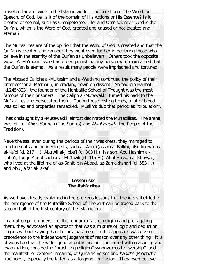travelled far and wide in the Islamic world. The question of the Word, or Speech, of God, i.e. is it of the domain of His Actions or His Essence? Is it created or eternal, such as Omnipotence, Life, and Omniscience? And is the Qur'an, which is the Word of God, created and caused or not created and eternal?

The Mu'tazilites are of the opinion that the Word of God is created and that the Qur'an is created and caused; they went even further in declaring those who believe in the eternity of the Qur'an as unbelievers. Others took the opposite view. Al-Ma'moun issued an order, punishing any person who maintained that the Qur'an is eternal. As a result many people were imprisoned and tortured.

The Abbasid Caliphs al-Mu'tasim and al-Wathinq continued the policy of their predecessor al-Ma'moun, in cracking down on dissent. Ahmad bin Hanbal [d.245/833], the founder of the Hanbalite School of Thought was the most famous of their prisoners. The Caliph al-Mutawakkil turned his back to the Mu'tazilites and persecuted them. During those testing times, a lot of blood was spilled and properties ransacked. Muslims dub that period as "tribulation".

That onslaught by al-Mutawakkil almost decimated the Mu'tazilites. The arena was left for Ahlus Sunnah (The Sunnis) and Ahlul Hadith (the People of the Tradition).

Nevertheless, even during the periods of their weakness, they managed to produce outstanding ideologists, such as Abul Qassim al-Balkhi, also known as al-Ka'bi (d. 217 H.), Abu Ali al-Jibba'i (d. 303 H.), his son, Abu Hashim al-Jibba'i, Judge Abdul Jabbar al-Mu'tazili (d. 415 H.), Abul Hassan al-Khayyat, who lived at the lifetime of as-Sahib bin Abbad, az-Zamakhshari (d. 583 H.) and Abu Ja'far al-Iskafi.

## **Lesson six The Ash'arites**

<span id="page-24-0"></span>As we have already explained in the previous lessons that the ideas that led to the emergence of the Mutazilite School of Thought can be traced back to the second half of the first century of the Islamic era.

In an attempt to understand the fundamentals of religion and propagating them, they advocated an approach that was a mixture of logic and deduction. It goes without saying that the first parameter in this approach was giving precedence to the independent judgement of reason over any other thing. It is obvious too that the wider general public are not concerned with reasoning and examination, considering "practicing religion" synonymous to "worship", and the manifest, or exoteric, meaning of Qur'anic verses and hadiths (Prophetic traditions), especially the latter, as a forgone conclusion. They even believe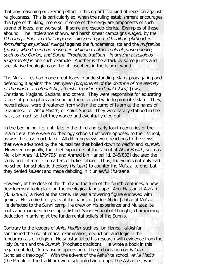that any reasoning or exerting effort in this regard is a kind of rebellion against religiousness. This is particularly so, when the ruling establishment encourages this type of thinking; more so, if some of the clergy are proponents of such strand of ideas, and worse still if some are pseudo-clerics. Examples of these abound. The intolerance shown, and harsh smear campaigns waged, by the Ikhbaris [a Shia sect that depends solely on reported tradition (Akhbar) in formulating its juridical rulings] against the fundamentalists and the mujtahids [jurists, who depend on reason, in addition to other tools of jurisprudence, such as the Qur'an, and Sunna "Prophetic tradition", in arriving at religious judgements] is one such example. Another is the attack by some jurists and speculative theologians on the philosophers in the Islamic world.

The Mu'tazilites had made great leaps in understanding Islam, propagating and defending it against the Dahriyeen [proponents of the doctrine of the eternity of the world, a materialistic, atheistic trend in medieval Islam], Jews, Christians, Magians, Sabians, and others. They were responsible for educating scores of propagators and sending them far and wide to promote Islam. They, nevertheless, were threatened from within the camp of Islam at the hands of Dhahirites, i.e. Ahlul Hadith, or Ahlus Sunna. They were fatally stabbed in the back, so much so that they waned and eventually died out.

In the beginning, i.e. until late in the third and early fourth centuries of the Islamic era, there were no theology schools that were opposed to their school, as was the case much later. All differing views were reactions to the views that were advanced by the Mu'tazilites that boiled down to hadith and sunnah. However, originally, the chief exponents of the school of Ahlul Hadith, such as Malik bin Anas [d.179/795] and Ahmad bin Hanbal [d. 245/833] declared the study and inference in matters of belief taboo. Thus, the Sunnis not only had no school for scholastic theology (kalaam) to counter the Mu'tazilite one, but they denied kalaam and made dabbling in it unlawful (haraam).

However, at the close of the third and the turn of the fourth centuries, a new development took place on the ideological landscape. Abul Hassan al-Ash'ari [d. 324/935] arrived at the scene. He was a towering figure endowed with genius. He studied for years at the hands of Judge Abdul Jabbar al-Mu'tazili. He defected to the Sunni camp. He drew on his experience and Mu'atazilite roots and managed to set up a distinct Sunni School of Thought, championing deduction in arriving at the fundamental beliefs of the Sunnis.

Contrary to the leaders of Ahlul Hadith, such as Ibn Hanbal, al-Ash'ari sanctioned the use of critical examination, deduction, and logic in the fundamentals of religion. He substantiated his research with evidence from the Holy Qur'an and the Sunnah (Prophetic tradition). He wrote a book in this regard entitled, "A treatise in approving of the embarkation on kalaam (scholastic theology)". With the advent of the Asha'rite school, Ahlul Hadith (the People of the tradition) were split into two groups, the Asharites, who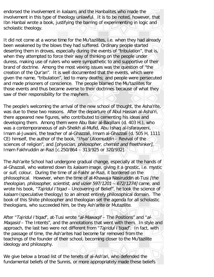endorsed the involvement in kalaam, and the Hanbalites who made the involvement in this type of theology unlawful. It is to be noted, however, that Ibn Hanbal wrote a book, justifying the barring of experimenting in logic and scholastic theology.

It did not come at a worse time for the Mu'tazilites, i.e. when they had already been weakened by the blows they had suffered. Ordinary people started deserting them in droves, especially during the events of "tribulation", that is, when they attempted to force their way of thinking on the people under duress, making use of rulers who were sympathetic to and supportive of their brand of doctrine. Among the most vexing issues was the question of "the creation of the Qur'an". It is well documented that the events, which were given the name, "tribulation", led to many deaths; and people were persecuted and made prisoners of conscience. The people blamed the Mu'tazilites for those events and thus became averse to their doctrines because of what they saw of their responsibility for the mayhem.

The people's welcoming the arrival of the new school of thought, the Asha'rite, was due to these two reasons. After the departure of Abul Hassan al-Asha'ri, there appeared new figures, who contributed to cementing his ideas and developing them. Among them were Abu Bakr al-Baqillani (d. 403 H.), who was a contemporaneous of ash-Sheikh al-Mufid, Abu Ishaq al-Isfarayeeni, Imam al-Juwaini, the teacher of al-Ghazzali, Imam al-Ghazzali (d. 505 H, 1111 CE) himself, the author of the book, "Ihya' Uloomuddin – Revival of the sciences of religion", and [physician, philosopher, chemist and freethinker], Imam Fakhruddin ar-Razi [c.250/864 – 313/925 or 320/932].

The Ash'arite School had undergone gradual change, especially at the hands of al-Ghazzali, who watered down its kalaam image, giving it a gnostic, i.e. mystic or sufi, colour. During the time of al-Fakhr ar-Razi, it bordered on the philosophical. However, when the time of al-Khawaja Nasiruddin at-Tusi [the theologian, philosopher, scientist, and vizier 597/1201 – 672/1274] came, and wrote his book, "Tajridul I'tigad – Uncovering of Belief", he took the science of kalaam (speculative theology) to an almost entirely philosophical domain. The book of this Shiite philosopher and theologian set the agenda for all scholastic theologians, who succeeded him, be they Ash'arite or Mutazilite.

After "Tajridul I'tigad", at-Tusi wrote "al-Mawagif - The Positions" and "al-Magasid – The Intents", and the annotations that went with them. In style and approach, the last two were not different from "Tajridul I'tigad". In fact, with the passage of time, the Ash'arites had become far removed from the teachings of the founder of their school, becoming closer to the Mu'tazilite ideology and philosophy.

We give below a broad list of the tenets of al-Ash'ari, who defended the fundamental beliefs of the Sunnis, or more appropriately made these beliefs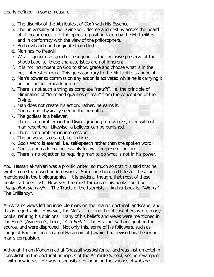clearly defined, in some measure:

- a. The disunity of the Attributes [of God] with His Essence.
- b. The universality of the Divine will, decree and destiny across the board of all occurrences, i.e. the opposite position taken by the Mu'tazilites and in conformity with the view of the philosophers.
- c. Both evil and good originate from God.
- d. Man has no freewill.
- e. What is judged as good or repugnant is the exclusive preserve of the sharia Law, i.e. these characteristics are not inherent.
- f. It is not incumbent on God to show grace and choose what is in the best interest of man. This goes contrary to the Mu'tazilite standpoint.
- g. Man's power to commission any action is activated while he is carrying it out not before embarking on it.
- h. There is not such a thing as complete "tanzih", i.e. the principle of elimination of "form and qualities of man" from the conception of the Divine.
- i. Man does not create his action; rather, he earns it.
- j. God can be physically seen in the hereafter.
- k. The godless is a believer.
- l. There is no problem in the Divine granting forgiveness, even without man repenting. Likewise, a believer can be punished.
- m. There is no problem in intercession.
- n. The universe is created, i.e. in time.
- o. God's Word is eternal, i.e. self-speech rather than the spoken word.
- p. God's actions do not necessarily follow a purpose or an aim.
- q. There is no objection to requiring man to do what is not in his power.

Abul Hassan al-Ash'ari was a prolific writer, so much so that it is said that he wrote more than two hundred works. Some one hundred titles of these are mentioned in the bibliographies. It is evident, though, that most of these books had been lost. However, the most famous of his books could be, "Magaaltul Islamiyyin – The Tracts of the Islamists". Anther book is, "Alluma' – The Brilliancy".

Al-Ash'ari's views left an indelible mark on the Islamic doctrinal landscape, and this is regrettable. However, the Mu'tazilites and the philosophers wrote many books, refuting his opinions. Many of his beliefs and views were mentioned in Ibn Sina's (Avicenna's) book, "Ash-Shifa' - The Healing, without quoting the source, and were disproved. Not only this, some of his followers, such as Judge al-Baqillani and Imamul Haramain al-Juwaini had revised his theory on man's compulsion.

Although Imam Mohammad al-Ghazzali was Ash'arite, and was instrumental in consolidating the doctrinal principles of the Ash'arite School, yet he revamped it with new ideas. He was responsible for bringing the science of kalaam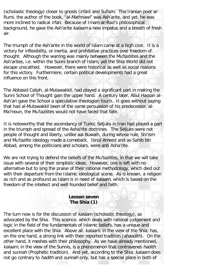(scholastic theology) closer to gnosis (irfan) and Sufism. The Iranian poet ar-Rumi, the author of the book, "al-Mathnawi" was Ash'arite, and yet, he was more inclined to radical irfan. Because of Imam ar-Razi's philosophical background, he gave the Ash'arite kalaam a new impetus and a breath of fresh air.

The triumph of the Ash'arite in the world of Islam came at a high cost. It is a victory for inflexibility, or inertia, and prohibitive practices over freedom of thought. Although the warring was mainly between the Mu'tazilites and the Ash'arites, i.e. within the Sunni branch of Islam, yet the Shia World did not escape unscathed. However, there were historical as well as social reasons for this victory. Furthermore, certain political developments had a great influence on this front.

The Abbasid Caliph, al-Mutawakkil, had played a significant part in making the Sunni School of Thought gain the upper hand. A century later, Abul Hassan al-Ash'ari gave the School a speculative theologian touch. It goes without saying that had al-Mutawakkil been of the same persuasion of his predecessor, al-Ma'moun, the Mu'tazilites would not have faced that fate.

It is noteworthy that the ascendancy of Turkic Seljuks in Iran had played a part in the triumph and spread of the Asha'rite doctrines. The Seljuks were not people of thought and liberty, unlike aal-Buwaih, during whose rule, Shi'ism and Mu'tazilte ideology made a comeback. Ibnul Ameed and as-Sahib bin Abbad, among the politicians and scholars, were anti Asha'rite.

We are not trying to defend the beliefs of the Mu'tazilites, in that we will take issue with several of their simplistic ideas. However, one is left with no alternative but to sing the praise of their rational methodology, which died out with their departure from the Islamic ideological scene. As is known, a religion as rich and as profound as Islam is in need of kalaam, which is based on the freedom of the intellect and well founded belief and faith.

### **Lesson seven The Shia (1)**

<span id="page-28-0"></span>The turn now is for the discussion of kalaam (scholastic theology), as advocated by the Shia. This science, which deals with rational judgement and logic in the field of the fundamentals of Islamic beliefs, has a unique and excellent place with the Shia. Above all, kalaam, in the view of the Shia, has, on the one hand, a strong link with their reported tradition (ahaadith). On the other hand, it meshes with their philosophy. As we have already mentioned, kalaam, in the view of the Sunnis, is a phenomenon that contravenes hadith and sunnah (Prophetic tradition). And yet, according to the Shia, kalaam does not go contrary to *hadith* and sunnah only, but has a special place in both of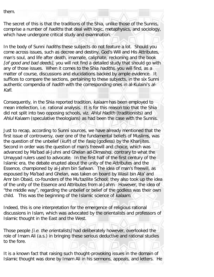them.

The secret of this is that the traditions of the Shia, unlike those of the Sunnis, comprise a number of hadiths that deal with logic, metaphysics, and sociology, which have undergone critical study and examination.

In the body of Sunni hadiths these subjects do not feature a lot. Should you come across issues, such as decree and destiny, God's Will and His Attributes, man's soul, and life after death, imamate, caliphate, reckoning and the book [of good and bad deeds], you will not find a detailed study that should go with any of those issues. When it comes to the Shia hadiths, you will find, as a matter of course, discussions and elucidations backed by ample evidence. It suffices to compare the sections, pertaining to these subjects, in the six Sunni authentic compendia of *hadith* with the corresponding ones in al-Kulaini's al-Kafi.

Consequently, in the Shia reported tradition, kalaam has been employed to mean intellection, i.e. rational analysis. It is for this reason too that the Shia did not split into two opposing schools, viz. Ahlul Hadith (traditionists) and Ahlul Kalaam (speculative theologians) as had been the case with the Sunnis.

Just to recap, according to Sunni sources, we have already mentioned that the first issue of controversy, over one of the fundamental beliefs of Muslims, was the question of the unbelief (kufr) of the fasiq (godless) by the Kharijites. Second in order was the question of man's freewill and choice, which was advanced by Ma'bad al-Juhni and Ghelan ad-Dimashqi, contrary to what the Umayyad rulers used to advocate. In the first half of the first century of the Islamic era, the debate erupted about the unity of the Attributes and the Essence, championed by al-Jahm bin Safwan. The idea of man's freewill, as espoused by Ma'bad and Ghelan, was taken on board by Wasil bin Ata' and Amr bin Obaid, co-founders of the Mu'tazilite School; they also took up the idea of the unity of the Essence and Attributes from al-Jahm. However, the idea of "the middle way", regarding the unbelief or belief of the godless was their own child. This was the beginning of the Islamic science of kalaam.

Indeed, this is one interpretation for the emergence of religious rational discussions in Islam, which was advocated by the orientalists and professors of Islamic thought in the East and the West.

Those people *[i.e. the orientalists]* had deliberately however, overlooked the role of Imam Ali (a.s.) in bringing these serious deductive and rational studies to the fore.

It is a known fact that raising such thought-provoking issues in the domain of Islamic thought was done by Imam Ali in his sermons, appeals, and letters. He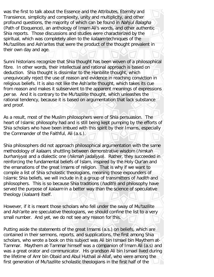was the first to talk about the Essence and the Attributes, Eternity and Transience, simplicity and complexity, unity and multiplicity, and other profound questions, the majority of which can be found in Nahjul Balagha (Path of Eloquence), an anthology of Imam Ali's words, and other authentic Shia reports. Those discussions and studies were characterized by the spiritual, which was completely alien to the kalaam techniques of the Mu'tazilites and Ash'arites that were the product of the thought prevalent in their own day and age.

Sunni historians recognize that Shia thought has been woven of a philosophical fibre. In other words, their intellectual and rational approach is based on deduction. Shia thought is dissimilar to the Hanbilite thought, which unequivocally reject the use of reason and evidence in reaching conviction in religious beliefs. It is also not like the Ash'arite thought, which takes its cue from reason and makes it subservient to the apparent meanings of expressions per se. And it is contrary to the Mu'tazilite thought, which unleashes the rational tendency, because it is based on argumentation that lack substance and proof.

As a result, most of the Muslim philosophers were of Shia persuasion. The heart of Islamic philosophy had and is still being kept pumping by the efforts of Shia scholars who have been imbued with this spirit by their Imams, especially the Commander of the Faithful, Ali (a.s.).

Shia philosophers did not approach philosophical argumentation with the same methodology of kalaam, shuttling between demonstrative wisdom (himkah burhaniyya) and a dialectic one (hikmah jadaliyya). Rather, they succeeded in reinforcing the fundamental beliefs of Islam, inspired by the Holy Qur'an and the emanations of the great Imams of religion. That is why if we want to compile a list of Shia scholastic theologians, meaning those expounders of Islamic Shia beliefs, we will include in it a group of transmitters of hadith and philosophers. This is so because Shia traditions (hadith) and philosophy have served the purpose of kalaam in a better way than the science of speculative theology (kalaam) itself.

However, if it is meant those scholars who fell under the sway of Mu'tazilite and Ash'arite are speculative theologians, we should confine the list to a very small number. And yet, we do not see any reason for this.

Putting aside the statements of the great Imams (a.s.) on beliefs, which are contained in their sermons, reports, and supplications, the first among Shia scholars, who wrote a book on this subject was Ali bin Ismael bin Maythem at-Tammar. Maythem at-Tammar himself was a companion of Imam Ali (a.s) and was a great orator and communicator. His grandson Ali bin Ismael lived during the lifetime of Amr bin Obaid and Abul Huthail al-Allaf, who were among the first generation of Mu'tazilite scholastic theologians in the first half of the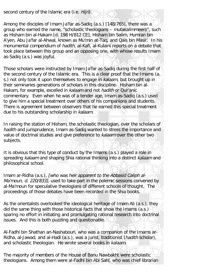second century of the Islamic era (i.e. Hijri).

Among the disciples of Imam Ja'far as-Sadiq (a.s.) [148/765], there was a group who earned the name, "scholastic theologians – mutakalimmeen)", such as Hisham bin al-Hakam [d. 198 H/812 CE], Hisham bin Salim, Humran bin A'yen, Abu Ja'far al-Ahwal, known as Mu'min at-Taq, and Qais bin Masir. In his monumental compendium of hadith, al-Kafi, al-Kulaini reports on a debate that took place between this group and an opposing one, with whose results Imam as-Sadiq (a.s.) was joyful.

Those scholars were instructed by Imam Ja'far as-Sadiq during the first half of the second century of the Islamic era. This is a clear proof that the Imams (a. s.) not only took it upon themselves to engage in kalaam, but brought up in their seminaries generations of scholars in this discipline. Hisham bin al-Hakam, for example, excelled in kalaam and not hadith or Qur'anic commentary. Even when he was of a tender age, Imam as-Sadiq (a.s.) used to give him a special treatment over others of his companions and students. There is agreement between observers that he earned this special treatment due to his outstanding scholarship in kalaam.

In raising the station of Hisham, the scholastic theologian, over the scholars of hadith and jurisprudence, Imam as-Sadiq wanted to stress the importance and value of doctrinal studies and give preference to kalaam over the other two subjects.

It is obvious that this type of conduct by the Imams (a.s.) played a role in spreading kalaam and shaping Shia rational thinking into a distinct kalaam and philosophical school.

Imam ar-Ridha (a.s.), [who was heir apparent to the Abbasid Caliph al-Ma'moun, d. 220/833], used to take part in the polemic sessions convened by al-Ma'moun for speculative theologians of different schools of thought. The proceedings of those debates have been recorded in the Shia books.

As the orientalists overlooked the ideological heritage of Imam Ali (a.s.), they did the same thing with those historical facts that show the Imams (a.s.) sparing no effort in initiating and promulgating rational research into doctrinal issues. And this is both puzzling and questionable.

Al-Fadhl bin Shathan an-Nashabouri, who was a companion of the Imams ar-Ridha, al-Jawad, and al-Hadi (a.s.), was a jurist, traditionist (hadith scholar), and scholastic theologian. He wrote several books in kalaam.

The majority of members of the House of Banu Nawbakht were scholastic theologians. Among them were al-Fadhl bin Abi Sahl, who was chief librarian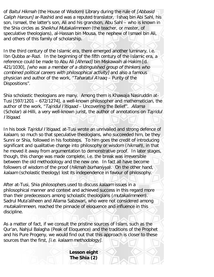of Baitul Hikmah (the House of Wisdom) Library during the rule of [Abbasid Caliph Haroun] ar-Rashid and was a reputed translator, Ishaq bin Abi Sahl, his son, Ismael, the latter's son, Ali and his grandson, Abu Sahl – who is known in the Shia circles as Sheikhul Mutakalimmeen (the teacher, or master, of speculative theologians), al-Hassan bin Mousa, the nephew of Ismael bin Ali, and others of this family of scholarship.

In the third century of the Islamic era, there emerged another luminary, i.e. Ibn Qubba ar-Razi. In the beginning of the fifth century of the Islamic era, a reference could be made to Abu Ali [Ahmad] bin Miskawaih al-Hakim [d. 421/1030], [who was a member of a distinguished group of thinkers who combined political careers with philosophical activity] and also a famous physician and author of the work, "Taharatul A'raaq – Purity of the Dispositions".

Shia scholastic theologians are many. Among them is Khawaja Nasiruddin at-Tusi [597/1201 – 672/1274], a well-known philosopher and mathematician, the author of the work, "Tajridul I'itiqaad – Uncovering the Belief". Allama (Scholar) al-Hilli, a very well-known jurist, the author of annotations on Tajridul I'itiqaad.

In his book Tajridul I'itiqaad, at-Tusi wrote an unrivalled and strong defence of kalaam, so much so that speculative theologians, who succeeded him, be they Sunni or Shia, followed in his footsteps. To him goes the credit of introducing significant and qualitative change into philosophy or wisdom (hikmah), in that he moved it away from argumentation to demonstrative proof. In later stages, though, this change was made complete, i.e. the break was irreversible between the old methodology and the new one. In fact all have become followers of wisdom of the proof (hikmah burhaniyya). On the other hand, kalaam (scholastic theology) lost its independence in favour of philosophy.

After at-Tusi, Shia philosophers used to discuss kalaam issues in a philosophical manner and context and achieved success in this regard more than their predecessors among scholastic theologians (*mutakalimmeen*). Sadrul Muta'aliheen and Allama Sabzwari, who were not considered among mutakalimmeen, reached the pinnacle of eloquence and influence in this discipline.

<span id="page-32-0"></span>As a matter of fact, if we consult the pristine sources of Islam, such as the Qur'an, Nahjul Balagha (Peak of Eloquence) and the traditions of the Prophet and his Pure Progeny, we would find out that this approach is closer to these sources than the first, *[i.e. kalaam methodology].* 

> **Lesson eight The Shia (2)**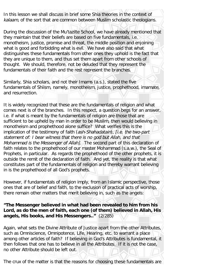In this lesson we shall discuss in brief some Shia theories in the context of kalaam, of the sort that are common between Muslim scholastic theologians.

During the discussion of the Mu'tazilte School, we have already mentioned that they maintain that their beliefs are based on five fundamentals, i.e. monotheism, justice, promise and threat, the middle position and enjoining what is good and forbidding what is evil. We have also said that what distinguishes these fundamentals from other ones they uphold is the fact that they are unique to them, and thus set them apart from other schools of thought. We should, therefore, not be deluded that they represent the fundamentals of their faith and the rest represent the branches.

Similarly, Shia scholars, and not their Imams (a.s.), stated the five fundamentals of Shiism, namely, monotheism, justice, prophethood, imamate, and resurrection.

It is widely recognized that these are the fundamentals of religion and what comes next is of the branches. In this respect, a question begs for an answer, i.e. if what is meant by the fundamentals of religion are those that are sufficient to be upheld by man in order to be Muslim, then would believing in monotheism and prophethood alone suffice? What verifies this is the implication of the testimony of faith (ash-Shahadatain), [i.e. the two-part statement of: I bear witness that there is no god but Allah, and that Mohammad is the Messenger of Allah]. The second part of this declaration of faith relates to the prophethood of our master Mohammad (s.a.w.), the Seal of Prophets, in particular. As regards the prophethood of the other prophets, it is outside the remit of the declaration of faith. And yet, the reality is that what constitutes part of the fundamentals of religion and thereby warrant believing in is the prophethood of all God's prophets.

However, if fundamentals of religion imply, from an Islamic perspective, those ones that are of belief and faith, to the exclusion of practical acts of worship, there remain other matters that merit believing in, such as the angels:

**"The Messenger believed in what had been revealed to him from his Lord, as do the men of faith, each one (of them) believed in Allah, His angels, His books, and His Messengers.."** (2/285)

Again, what sets the Divine Attribute of Justice apart from the other Attributes, such as Omniscience, Omnipotence, Life, Hearing, etc. to warrant a place among other articles of faith? If believing in God's Attributes is fundamental, it then follows that one has to believe in all the Attributes. If it is not the case, no other Attribute should be left out.

The crux of the matter is that the reasons for choosing these fundamentals are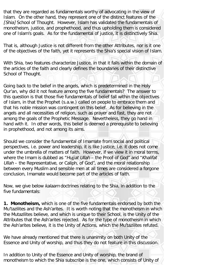that they are regarded as fundamentals worthy of advocating in the view of Islam. On the other hand, they represent one of the distinct features of the [Shia] School of Thought. However, Islam has validated the fundamentals of monotheism, justice, and prophethood, and thus upholding them is considered one of Islam's goals. As for the fundamental of justice, it is distinctively Shia.

That is, although Justice is not different from the other Attributes, nor is it one of the objectives of the faith, yet it represents the Shia's special vision of Islam.

With Shia, two features characterize Justice, in that it falls within the domain of the articles of the faith and clearly defines the boundaries of their distinctive School of Thought.

Going back to the belief in the angels, which is predetermined in the Holy Qur'an, why did it not feature among the five fundamentals? The answer to this question is that those five fundamentals of belief fall within the objectives of Islam, in that the Prophet (s.a.w.) called on people to embrace them and that his noble mission was contingent on this belief. As for believing in the angels and all necessities of religion, such as prayer and fast, they are not among the goals of the Prophetic Message. Nevertheless, they go hand in hand with it. In other words, this belief is deemed a prerequisite to believing in prophethood, and not among its aims.

Should we consider the fundamental of Imamate from social and political perspectives, i.e. power and leadership, it is like Justice, i.e. it does not come under the umbrella of matters of faith. However, if we view it in moral terms, where the Imam is dubbed as "Hujjat Ullah – the Proof of God" and "Khalifat Ullah – the Representative, or Caliph, of God", and the moral relationship between every Muslim and sensible men at all times are considered a forgone conclusion, Imamate would become part of the articles of faith.

Now, we give below kalaam doctrines relating to the Shia, in addition to the five fundamentals:

**1. Monotheism,** which is one of the five fundamentals endorsed by both the Mu'tazilites and the Ash'arites. It is worth noting that the monotheism in which the Mutazilites believe, and which is unique to their School, is the Unity of the Attributes that the Ash'arites rejected. As for the type of monotheism in which the Ash'arites believe, it is the Unity of Actions, which the Mu'tazilites refuted.

We have already mentioned that there is unanimity on both Unity of the Essence and Unity of worship, and thus they do not feature in this discussion.

In addition to Unity of the Essence and Unity of worship, the brand of monotheism to which the Shia subscribe is the one, which consists of Unity of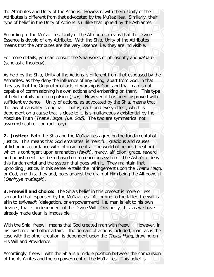the Attributes and Unity of the Actions. However, with them, Unity of the Attributes is different from that advocated by the Mu'tazilites. Similarly, their type of belief in the Unity of Actions is unlike that upheld by the Ash'arites.

According to the Mu'tazilites, Unity of the Attributes means that the Divine Essence is devoid of any Attribute. With the Shia, Unity of the Attributes means that the Attributes are the very Essence, i.e. they are indivisible.

For more details, you can consult the Shia works of philosophy and kalaam (scholastic theology).

As held by the Shia, Unity of the Actions is different from that espoused by the Ash'arites, as they deny the influence of any being, apart from God, in that they say that the Originator of acts of worship is God, and that man is not capable of commissioning his own actions and embarking on them. This type of belief entails pure compulsion (*jabr*). However, it has been disproved with sufficient evidence. Unity of actions, as advocated by the Shia, means that the law of causality is original. That is, each and every effect, which is dependent on a cause that is close to it, is simultaneously existential by the Absolute Truth (Thatul Haqq), [i.e. God]. The two are symmetrical not asymmetrical (or contradictory).

**2. Justice:** Both the Shia and the Mu'tazilites agree on the fundamental of Justice. This means that God emanates, is merciful, gracious and causes affliction in accordance with intrinsic merits. The world of beings (creation), which is contingent upon emanation (faydh), mercy, affliction, grace, reward and punishment, has been based on a meticulous system. The Asha'rite deny this fundamental and the system that goes with it. They maintain that upholding Justice, in this sense, entails the infringement upon the Thatul Haqq, or God, and this, they add, goes against the grain of Him being the All-poweful (Qahiryya mutlaqah).

**3. Freewill and choice:** The Shia's belief in this precept is more or less similar to that espoused by the Mu'tazilites. According to the latter, freewill is akin to tafweedh (delegation, or empowerment), i.e. man is left to his own devices, that is, independent of the Divine Will. Obviously, this, as we have already made clear, is impossible.

With the Shia, freewill means that God created man with freewill. However, in his existence and other affairs – the domain of actions included, man, as is the case with the other creation, is dependent upon the Thatul Haqq, drawing on His Will and Providence.

Accordingly, freewill with the Shia is a middle position between the compulsion of the Ash'arites and the empowerment of the Mu'tzilites. This belief is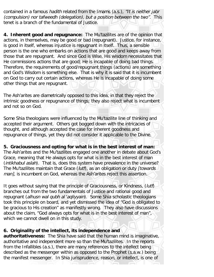contained in a famous hadith related from the Imams (a.s.), "It is neither jabr (compulsion) nor tafweedh (delegation), but a position between the two". This tenet is a branch of the fundamental of Justice.

**4. Inherent good and repugnance:** The Mu'tazilites are of the opinion that actions, in themselves, may be good or bad (repugnant). Justice, for instance, is good in itself, whereas injustice is repugnant in itself. Thus, a sensible person is the one who embarks on actions that are good and keeps away from those that are repugnant. And since God is Wise, His wisdom necessitates that He commissions actions that are good; He is incapable of doing bad things. Therefore, the requirements of good/repugnant things (actions) are something and God's Wisdom is something else. That is why it is said that it is incumbent on God to carry out certain actions, whereas He is incapable of doing some other things that are repugnant.

The Ash'arites are diametrically opposed to this idea, in that they reject the intrinsic goodness or repugnance of things; they also reject what is incumbent and not so on God.

Some Shia theologians were influenced by the Mu'tazilite line of thinking and accepted their argument. Others got bogged down with the intricacies of thought, and although accepted the case for inherent goodness and repugnance of things, yet they did not consider it applicable to the Divine.

#### **5. Graciousness and opting for what is in the best interest of man:**

The Ash'arites and the Mu'tazilites engaged one another in debate about God's Grace, meaning that He always opts for what is in the best interest of man (intikhabul aslah). That is, does this system have prevalence in the universe? The Mu'tazilites maintain that Grace (lutf), as an obligation or duty [towards man], is incumbent on God, whereas the Ash'arites reject this assertion.

It goes without saying that the principle of Graciousness, or Kindness, (lutf) branches out from the two fundamentals of Justice and rational good and repugnant (alhusn wal qubh al 'aqliyyain). Some Shia scholastic theologians took this principle on board, and yet dismissed the idea of "God is obligated to be gracious to His creation" as manifestly wrong. They also have discussions about the claim, "God always opts for what is in the best interest of man", which we cannot dwell on in this study.

# **6. Originality of the intellect, its independence and**

**authoritativeness:** The Shia have said that the human mind is imaginative, authoritative and independent more so than the Mu'tazilites. In the reports from the Infallibles (a.s.), there are many references to the intellect being described as the messenger within as opposed to the Prophet (s.a.w.) being the manifest messenger. In Shia jurisprudence, reason, or intellect, is one of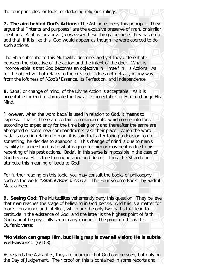the four principles, or tools, of deducing religious rulings.

**7. The aim behind God's Actions:** The Ash'arites deny this principle. They argue that "intents and purposes" are the exclusive preserve of man, or similar creations. Allah is far above (munazzah) these things, because, they hasten to add that, if it is like this, God would appear as though He were coerced to do such actions.

The Shia subscribe to this Mu'tazilite doctrine, and yet they differentiate between the objective of the action and the intent of the doer. What is inconceivable is that God becomes an objective in Himself in His Actions. As for the objective that relates to the created, it does not detract, in any way, from the loftiness of [God's] Essence, its Perfection, and Independence.

**8.** Bada', or change of mind, of the Divine Action is acceptable: As it is acceptable for God to abrogate the laws, it is acceptable for Him to change His Mind.

[However, when the word bada' is used in relation to God, it means to express. That is, there are certain commandments, which come into force according to expediency for the time being only and thereafter the same are abrogated or some new commandments take their place. When the word bada' is used in relation to man, it is said that after taking a decision to do something, he decides to abandon it. This change of mind is due to man's inability to understand as to what is good for him or may be it is due to his repenting of his past actions. Bada', in this sense is impossible in the case of God because He is free from ignorance and defect. Thus, the Shia do not attribute this meaning of bada to God].

For further reading on this topic, you may consult the books of philosophy, such as the work, "Kitabul Asfar al-Arba'a - The Four-volume Book", by Sadrul Mata'aliheen.

**9. Seeing God:** The Mu'tazilites vehemently deny this question. They believe that man reaches the stage of believing in God per se. And this is a matter for man's conscience and intellect, which are the only two paths that lead to certitude in the existence of God, and the latter is the highest point of faith. God cannot be physically seen in any manner. The proof on this is this Qur'anic verse:

**"No vision can grasp Him, but His grasp is over all vision; He is subtle well-aware".** (6/103).

As regards the Ash'arites, they are adamant that God can be seen, but only on the Day of Judgement. Their proof on this is contained in some reports and